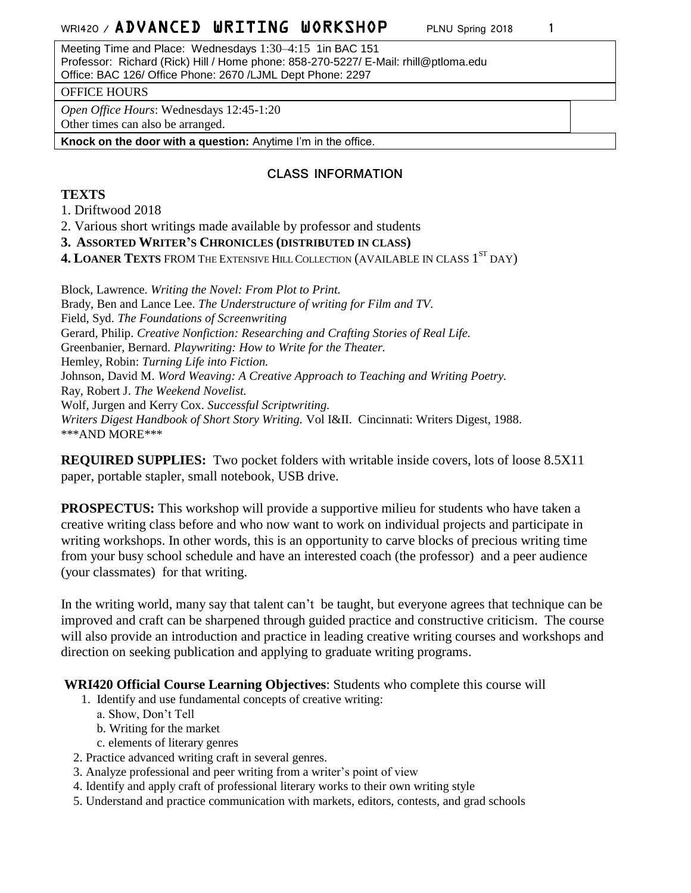Meeting Time and Place: Wednesdays 1:30–4:15 1in BAC 151 Professor: Richard (Rick) Hill / Home phone: 858-270-5227/ E-Mail: rhill@ptloma.edu Office: BAC 126/ Office Phone: 2670 /LJML Dept Phone: 2297

### OFFICE HOURS

*Open Office Hours*: Wednesdays 12:45-1:20

Other times can also be arranged.

**Knock on the door with a question:** Anytime I'm in the office.

## **CLASS INFORMATION**

## **TEXTS**

1. Driftwood 2018

2. Various short writings made available by professor and students

**3. ASSORTED WRITER'S CHRONICLES (DISTRIBUTED IN CLASS)**

**4. LOANER TEXTS** FROM THE EXTENSIVE HILL COLLECTION (AVAILABLE IN CLASS 1 ST DAY)

Block, Lawrence. *Writing the Novel: From Plot to Print.* Brady, Ben and Lance Lee. *The Understructure of writing for Film and TV.* Field, Syd. *The Foundations of Screenwriting* Gerard, Philip. *Creative Nonfiction: Researching and Crafting Stories of Real Life.* Greenbanier, Bernard. *Playwriting: How to Write for the Theater.* Hemley, Robin: *Turning Life into Fiction.* Johnson, David M. *Word Weaving: A Creative Approach to Teaching and Writing Poetry.* Ray, Robert J. *The Weekend Novelist.* Wolf, Jurgen and Kerry Cox. *Successful Scriptwriting. Writers Digest Handbook of Short Story Writing.* Vol I&II. Cincinnati: Writers Digest, 1988. \*\*\*AND MORE\*\*\*

**REQUIRED SUPPLIES:** Two pocket folders with writable inside covers, lots of loose 8.5X11 paper, portable stapler, small notebook, USB drive.

**PROSPECTUS:** This workshop will provide a supportive milieu for students who have taken a creative writing class before and who now want to work on individual projects and participate in writing workshops. In other words, this is an opportunity to carve blocks of precious writing time from your busy school schedule and have an interested coach (the professor) and a peer audience (your classmates) for that writing.

In the writing world, many say that talent can't be taught, but everyone agrees that technique can be improved and craft can be sharpened through guided practice and constructive criticism. The course will also provide an introduction and practice in leading creative writing courses and workshops and direction on seeking publication and applying to graduate writing programs.

**WRI420 Official Course Learning Objectives**: Students who complete this course will

- 1. Identify and use fundamental concepts of creative writing:
	- a. Show, Don't Tell
	- b. Writing for the market
	- c. elements of literary genres
- 2. Practice advanced writing craft in several genres.
- 3. Analyze professional and peer writing from a writer's point of view
- 4. Identify and apply craft of professional literary works to their own writing style
- 5. Understand and practice communication with markets, editors, contests, and grad schools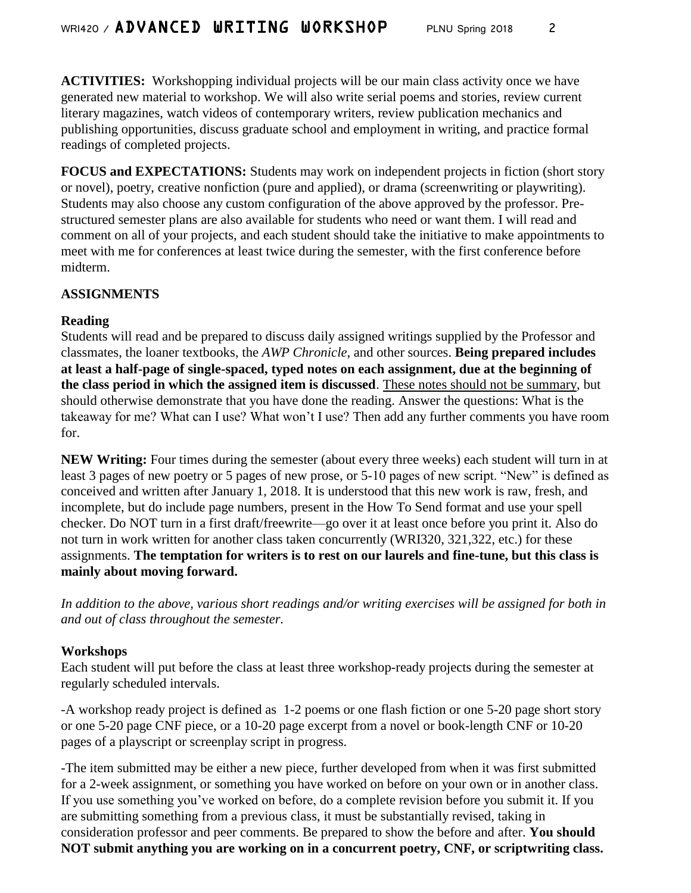**ACTIVITIES:** Workshopping individual projects will be our main class activity once we have generated new material to workshop. We will also write serial poems and stories, review current literary magazines, watch videos of contemporary writers, review publication mechanics and publishing opportunities, discuss graduate school and employment in writing, and practice formal readings of completed projects.

**FOCUS and EXPECTATIONS:** Students may work on independent projects in fiction (short story or novel), poetry, creative nonfiction (pure and applied), or drama (screenwriting or playwriting). Students may also choose any custom configuration of the above approved by the professor. Prestructured semester plans are also available for students who need or want them. I will read and comment on all of your projects, and each student should take the initiative to make appointments to meet with me for conferences at least twice during the semester, with the first conference before midterm.

## **ASSIGNMENTS**

## **Reading**

Students will read and be prepared to discuss daily assigned writings supplied by the Professor and classmates, the loaner textbooks, the *AWP Chronicle*, and other sources. **Being prepared includes at least a half-page of single-spaced, typed notes on each assignment, due at the beginning of the class period in which the assigned item is discussed**. These notes should not be summary, but should otherwise demonstrate that you have done the reading. Answer the questions: What is the takeaway for me? What can I use? What won't I use? Then add any further comments you have room for.

**NEW Writing:** Four times during the semester (about every three weeks) each student will turn in at least 3 pages of new poetry or 5 pages of new prose, or 5-10 pages of new script. "New" is defined as conceived and written after January 1, 2018. It is understood that this new work is raw, fresh, and incomplete, but do include page numbers, present in the How To Send format and use your spell checker. Do NOT turn in a first draft/freewrite—go over it at least once before you print it. Also do not turn in work written for another class taken concurrently (WRI320, 321,322, etc.) for these assignments. **The temptation for writers is to rest on our laurels and fine-tune, but this class is mainly about moving forward.** 

*In addition to the above, various short readings and/or writing exercises will be assigned for both in and out of class throughout the semester.*

## **Workshops**

Each student will put before the class at least three workshop-ready projects during the semester at regularly scheduled intervals.

-A workshop ready project is defined as 1-2 poems or one flash fiction or one 5-20 page short story or one 5-20 page CNF piece, or a 10-20 page excerpt from a novel or book-length CNF or 10-20 pages of a playscript or screenplay script in progress.

-The item submitted may be either a new piece, further developed from when it was first submitted for a 2-week assignment, or something you have worked on before on your own or in another class. If you use something you've worked on before, do a complete revision before you submit it. If you are submitting something from a previous class, it must be substantially revised, taking in consideration professor and peer comments. Be prepared to show the before and after. **You should NOT submit anything you are working on in a concurrent poetry, CNF, or scriptwriting class.**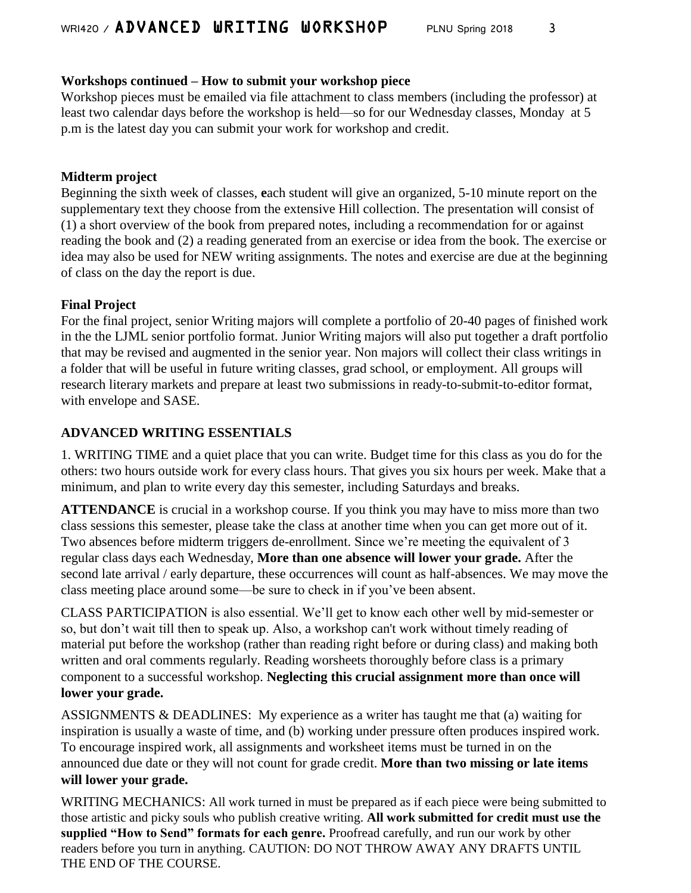## **Workshops continued – How to submit your workshop piece**

Workshop pieces must be emailed via file attachment to class members (including the professor) at least two calendar days before the workshop is held—so for our Wednesday classes, Monday at 5 p.m is the latest day you can submit your work for workshop and credit.

## **Midterm project**

Beginning the sixth week of classes, **e**ach student will give an organized, 5-10 minute report on the supplementary text they choose from the extensive Hill collection. The presentation will consist of (1) a short overview of the book from prepared notes, including a recommendation for or against reading the book and (2) a reading generated from an exercise or idea from the book. The exercise or idea may also be used for NEW writing assignments. The notes and exercise are due at the beginning of class on the day the report is due.

## **Final Project**

For the final project, senior Writing majors will complete a portfolio of 20-40 pages of finished work in the the LJML senior portfolio format. Junior Writing majors will also put together a draft portfolio that may be revised and augmented in the senior year. Non majors will collect their class writings in a folder that will be useful in future writing classes, grad school, or employment. All groups will research literary markets and prepare at least two submissions in ready-to-submit-to-editor format, with envelope and SASE.

## **ADVANCED WRITING ESSENTIALS**

1. WRITING TIME and a quiet place that you can write. Budget time for this class as you do for the others: two hours outside work for every class hours. That gives you six hours per week. Make that a minimum, and plan to write every day this semester, including Saturdays and breaks.

**ATTENDANCE** is crucial in a workshop course. If you think you may have to miss more than two class sessions this semester, please take the class at another time when you can get more out of it. Two absences before midterm triggers de-enrollment. Since we're meeting the equivalent of 3 regular class days each Wednesday, **More than one absence will lower your grade.** After the second late arrival / early departure, these occurrences will count as half-absences. We may move the class meeting place around some—be sure to check in if you've been absent.

CLASS PARTICIPATION is also essential. We'll get to know each other well by mid-semester or so, but don't wait till then to speak up. Also, a workshop can't work without timely reading of material put before the workshop (rather than reading right before or during class) and making both written and oral comments regularly. Reading worsheets thoroughly before class is a primary component to a successful workshop. **Neglecting this crucial assignment more than once will lower your grade.**

ASSIGNMENTS & DEADLINES: My experience as a writer has taught me that (a) waiting for inspiration is usually a waste of time, and (b) working under pressure often produces inspired work. To encourage inspired work, all assignments and worksheet items must be turned in on the announced due date or they will not count for grade credit. **More than two missing or late items will lower your grade.** 

WRITING MECHANICS: All work turned in must be prepared as if each piece were being submitted to those artistic and picky souls who publish creative writing. **All work submitted for credit must use the supplied "How to Send" formats for each genre.** Proofread carefully, and run our work by other readers before you turn in anything. CAUTION: DO NOT THROW AWAY ANY DRAFTS UNTIL THE END OF THE COURSE.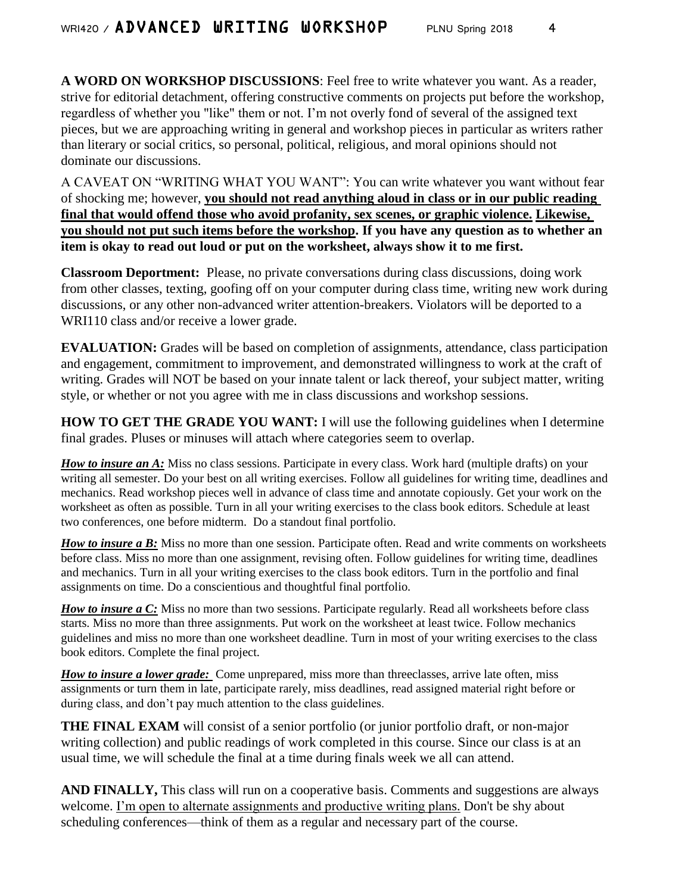**A WORD ON WORKSHOP DISCUSSIONS**: Feel free to write whatever you want. As a reader, strive for editorial detachment, offering constructive comments on projects put before the workshop, regardless of whether you "like" them or not. I'm not overly fond of several of the assigned text pieces, but we are approaching writing in general and workshop pieces in particular as writers rather than literary or social critics, so personal, political, religious, and moral opinions should not dominate our discussions.

A CAVEAT ON "WRITING WHAT YOU WANT": You can write whatever you want without fear of shocking me; however, **you should not read anything aloud in class or in our public reading final that would offend those who avoid profanity, sex scenes, or graphic violence. Likewise, you should not put such items before the workshop. If you have any question as to whether an item is okay to read out loud or put on the worksheet, always show it to me first.**

**Classroom Deportment:** Please, no private conversations during class discussions, doing work from other classes, texting, goofing off on your computer during class time, writing new work during discussions, or any other non-advanced writer attention-breakers. Violators will be deported to a WRI110 class and/or receive a lower grade.

**EVALUATION:** Grades will be based on completion of assignments, attendance, class participation and engagement, commitment to improvement, and demonstrated willingness to work at the craft of writing. Grades will NOT be based on your innate talent or lack thereof, your subject matter, writing style, or whether or not you agree with me in class discussions and workshop sessions.

**HOW TO GET THE GRADE YOU WANT:** I will use the following guidelines when I determine final grades. Pluses or minuses will attach where categories seem to overlap.

*How to insure an A:* Miss no class sessions. Participate in every class. Work hard (multiple drafts) on your writing all semester. Do your best on all writing exercises. Follow all guidelines for writing time, deadlines and mechanics. Read workshop pieces well in advance of class time and annotate copiously. Get your work on the worksheet as often as possible. Turn in all your writing exercises to the class book editors. Schedule at least two conferences, one before midterm. Do a standout final portfolio.

*How to insure a B:* Miss no more than one session. Participate often. Read and write comments on worksheets before class. Miss no more than one assignment, revising often. Follow guidelines for writing time, deadlines and mechanics. Turn in all your writing exercises to the class book editors. Turn in the portfolio and final assignments on time. Do a conscientious and thoughtful final portfolio.

*How to insure a C:* Miss no more than two sessions. Participate regularly. Read all worksheets before class starts. Miss no more than three assignments. Put work on the worksheet at least twice. Follow mechanics guidelines and miss no more than one worksheet deadline. Turn in most of your writing exercises to the class book editors. Complete the final project.

*How to insure a lower grade:* Come unprepared, miss more than threeclasses, arrive late often, miss assignments or turn them in late, participate rarely, miss deadlines, read assigned material right before or during class, and don't pay much attention to the class guidelines.

**THE FINAL EXAM** will consist of a senior portfolio (or junior portfolio draft, or non-major writing collection) and public readings of work completed in this course. Since our class is at an usual time, we will schedule the final at a time during finals week we all can attend.

**AND FINALLY,** This class will run on a cooperative basis. Comments and suggestions are always welcome. I'm open to alternate assignments and productive writing plans. Don't be shy about scheduling conferences—think of them as a regular and necessary part of the course.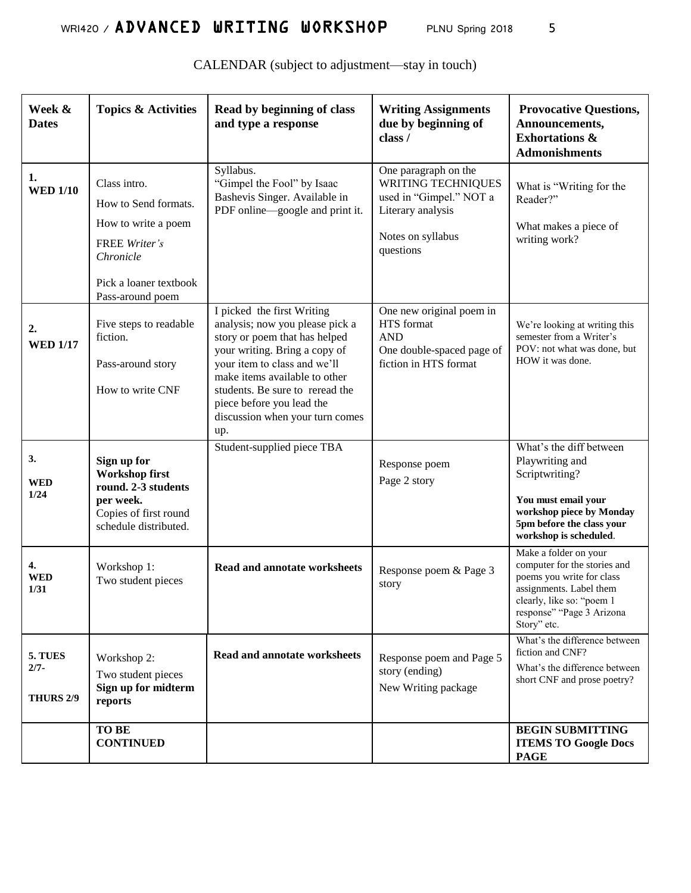| Week &<br><b>Dates</b>                 | <b>Topics &amp; Activities</b>                                                                                      | Read by beginning of class<br>and type a response                                                                                                                                                                                                                                                          | <b>Writing Assignments</b><br>due by beginning of<br>class /                                                                        | <b>Provocative Questions,</b><br>Announcements,<br><b>Exhortations &amp;</b><br><b>Admonishments</b>                                                                                   |
|----------------------------------------|---------------------------------------------------------------------------------------------------------------------|------------------------------------------------------------------------------------------------------------------------------------------------------------------------------------------------------------------------------------------------------------------------------------------------------------|-------------------------------------------------------------------------------------------------------------------------------------|----------------------------------------------------------------------------------------------------------------------------------------------------------------------------------------|
| 1.<br><b>WED 1/10</b>                  | Class intro.<br>How to Send formats.<br>How to write a poem<br>FREE Writer's<br>Chronicle<br>Pick a loaner textbook | Syllabus.<br>"Gimpel the Fool" by Isaac<br>Bashevis Singer. Available in<br>PDF online—google and print it.                                                                                                                                                                                                | One paragraph on the<br><b>WRITING TECHNIQUES</b><br>used in "Gimpel." NOT a<br>Literary analysis<br>Notes on syllabus<br>questions | What is "Writing for the<br>Reader?"<br>What makes a piece of<br>writing work?                                                                                                         |
| 2.<br><b>WED 1/17</b>                  | Pass-around poem<br>Five steps to readable<br>fiction.<br>Pass-around story<br>How to write CNF                     | I picked the first Writing<br>analysis; now you please pick a<br>story or poem that has helped<br>your writing. Bring a copy of<br>your item to class and we'll<br>make items available to other<br>students. Be sure to reread the<br>piece before you lead the<br>discussion when your turn comes<br>up. | One new original poem in<br>HTS format<br><b>AND</b><br>One double-spaced page of<br>fiction in HTS format                          | We're looking at writing this<br>semester from a Writer's<br>POV: not what was done, but<br>HOW it was done.                                                                           |
| 3.<br><b>WED</b><br>1/24               | Sign up for<br>Workshop first<br>round. 2-3 students<br>per week.<br>Copies of first round<br>schedule distributed. | Student-supplied piece TBA                                                                                                                                                                                                                                                                                 | Response poem<br>Page 2 story                                                                                                       | What's the diff between<br>Playwriting and<br>Scriptwriting?<br>You must email your<br>workshop piece by Monday<br>5pm before the class your<br>workshop is scheduled.                 |
| 4.<br><b>WED</b><br><b>1/31</b>        | Workshop 1:<br>Two student pieces                                                                                   | <b>Read and annotate worksheets</b>                                                                                                                                                                                                                                                                        | Response poem & Page 3<br>story                                                                                                     | Make a folder on your<br>computer for the stories and<br>poems you write for class<br>assignments. Label them<br>clearly, like so: "poem 1<br>response" "Page 3 Arizona<br>Story" etc. |
| 5. TUES<br>$2/7 -$<br><b>THURS 2/9</b> | Workshop 2:<br>Two student pieces<br>Sign up for midterm<br>reports                                                 | <b>Read and annotate worksheets</b>                                                                                                                                                                                                                                                                        | Response poem and Page 5<br>story (ending)<br>New Writing package                                                                   | What's the difference between<br>fiction and CNF?<br>What's the difference between<br>short CNF and prose poetry?                                                                      |
|                                        | <b>TO BE</b><br><b>CONTINUED</b>                                                                                    |                                                                                                                                                                                                                                                                                                            |                                                                                                                                     | <b>BEGIN SUBMITTING</b><br><b>ITEMS TO Google Docs</b><br><b>PAGE</b>                                                                                                                  |

CALENDAR (subject to adjustment—stay in touch)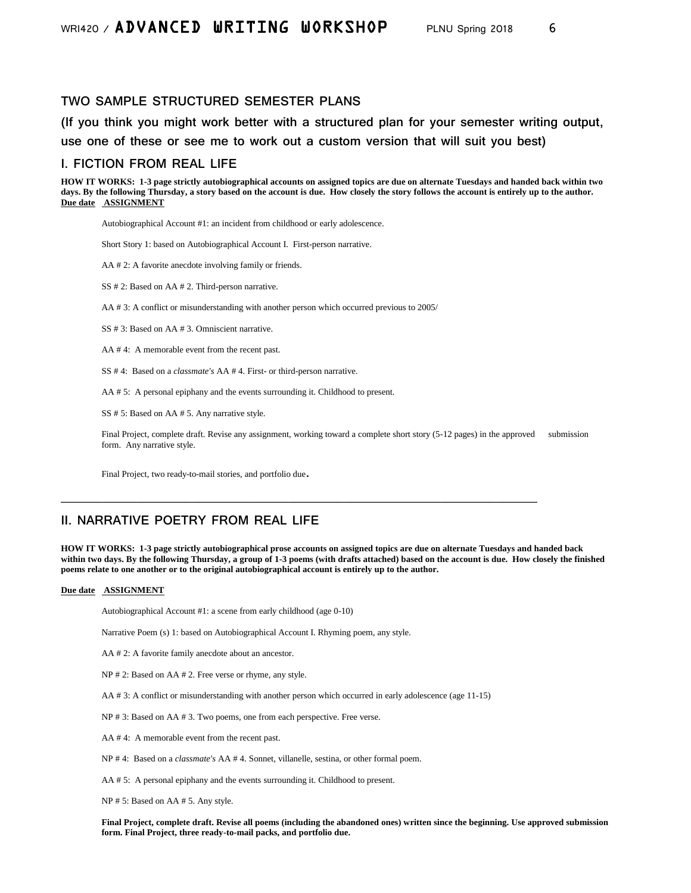#### **TWO SAMPLE STRUCTURED SEMESTER PLANS**

**(If you think you might work better with a structured plan for your semester writing output, use one of these or see me to work out a custom version that will suit you best)**

#### **I. FICTION FROM REAL LIFE**

**HOW IT WORKS: 1-3 page strictly autobiographical accounts on assigned topics are due on alternate Tuesdays and handed back within two days. By the following Thursday, a story based on the account is due. How closely the story follows the account is entirely up to the author. Due date ASSIGNMENT**

Autobiographical Account #1: an incident from childhood or early adolescence.

Short Story 1: based on Autobiographical Account I. First-person narrative.

AA # 2: A favorite anecdote involving family or friends.

SS # 2: Based on AA # 2. Third-person narrative.

AA # 3: A conflict or misunderstanding with another person which occurred previous to 2005/

SS # 3: Based on AA # 3. Omniscient narrative.

AA # 4: A memorable event from the recent past.

SS # 4: Based on a *classmate's* AA # 4. First- or third-person narrative.

AA # 5: A personal epiphany and the events surrounding it. Childhood to present.

SS # 5: Based on AA # 5. Any narrative style.

Final Project, complete draft. Revise any assignment, working toward a complete short story (5-12 pages) in the approved submission form. Any narrative style.

Final Project, two ready-to-mail stories, and portfolio due.

### **II. NARRATIVE POETRY FROM REAL LIFE**

**HOW IT WORKS: 1-3 page strictly autobiographical prose accounts on assigned topics are due on alternate Tuesdays and handed back within two days. By the following Thursday, a group of 1-3 poems (with drafts attached) based on the account is due. How closely the finished poems relate to one another or to the original autobiographical account is entirely up to the author.** 

#### **Due date ASSIGNMENT**

Autobiographical Account #1: a scene from early childhood (age 0-10)

Narrative Poem (s) 1: based on Autobiographical Account I. Rhyming poem, any style.

AA # 2: A favorite family anecdote about an ancestor.

NP # 2: Based on AA # 2. Free verse or rhyme, any style.

AA # 3: A conflict or misunderstanding with another person which occurred in early adolescence (age 11-15)

**\_\_\_\_\_\_\_\_\_\_\_\_\_\_\_\_\_\_\_\_\_\_\_\_\_\_\_\_\_\_\_\_\_\_\_\_\_\_\_\_\_\_\_\_\_\_\_\_\_\_\_\_\_\_\_\_\_\_\_\_\_\_\_\_\_\_\_\_\_**

NP # 3: Based on AA # 3. Two poems, one from each perspective. Free verse.

AA # 4: A memorable event from the recent past.

NP # 4: Based on a *classmate's* AA # 4. Sonnet, villanelle, sestina, or other formal poem.

AA # 5: A personal epiphany and the events surrounding it. Childhood to present.

NP # 5: Based on AA # 5. Any style.

**Final Project, complete draft. Revise all poems (including the abandoned ones) written since the beginning. Use approved submission form. Final Project, three ready-to-mail packs, and portfolio due.**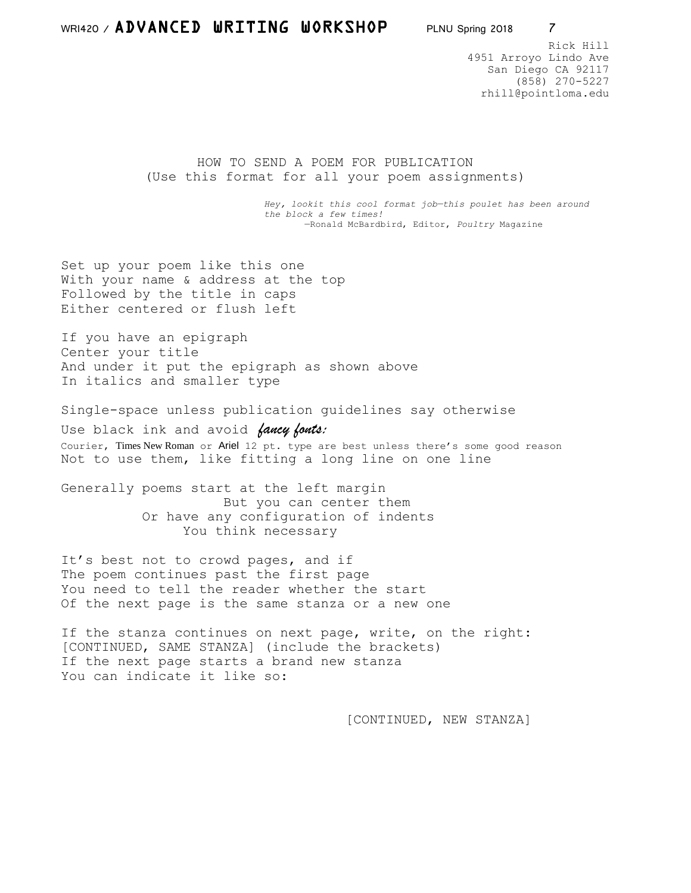Rick Hill 4951 Arroyo Lindo Ave San Diego CA 92117 (858) 270-5227 rhill@pointloma.edu

HOW TO SEND A POEM FOR PUBLICATION (Use this format for all your poem assignments)

> *Hey, lookit this cool format job—this poulet has been around the block a few times!* —Ronald McBardbird, Editor, *Poultry* Magazine

Set up your poem like this one With your name & address at the top Followed by the title in caps Either centered or flush left

If you have an epigraph Center your title And under it put the epigraph as shown above In italics and smaller type

Single-space unless publication guidelines say otherwise

Use black ink and avoid *fancy fonts:*  Courier, Times New Roman or Ariel 12 pt. type are best unless there's some good reason Not to use them, like fitting a long line on one line

Generally poems start at the left margin But you can center them Or have any configuration of indents You think necessary

It's best not to crowd pages, and if The poem continues past the first page You need to tell the reader whether the start Of the next page is the same stanza or a new one

If the stanza continues on next page, write, on the right: [CONTINUED, SAME STANZA] (include the brackets) If the next page starts a brand new stanza You can indicate it like so:

[CONTINUED, NEW STANZA]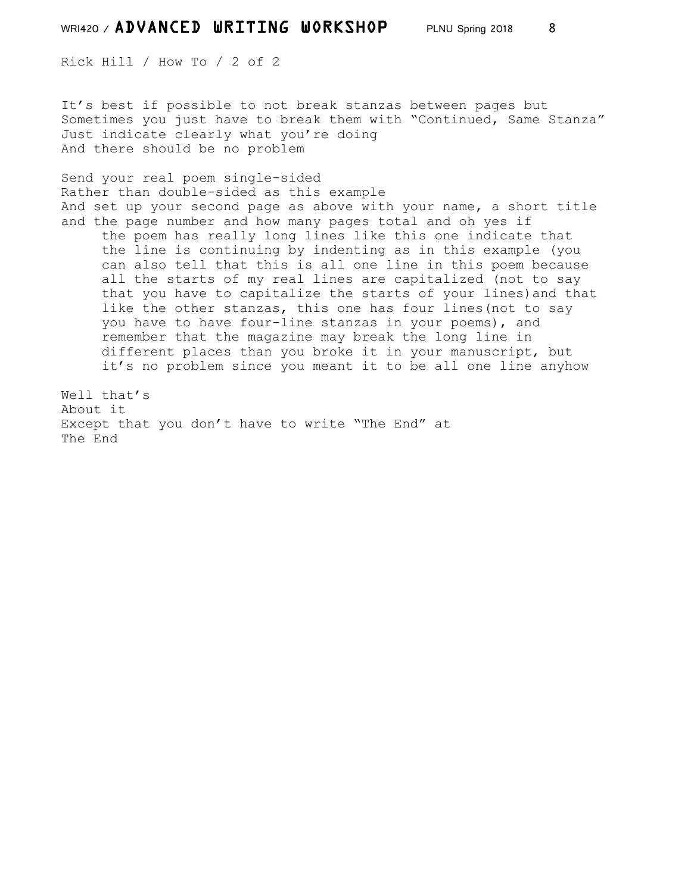Rick Hill / How To / 2 of 2

It's best if possible to not break stanzas between pages but Sometimes you just have to break them with "Continued, Same Stanza" Just indicate clearly what you're doing And there should be no problem

Send your real poem single-sided Rather than double-sided as this example And set up your second page as above with your name, a short title and the page number and how many pages total and oh yes if

 the poem has really long lines like this one indicate that the line is continuing by indenting as in this example (you can also tell that this is all one line in this poem because all the starts of my real lines are capitalized (not to say that you have to capitalize the starts of your lines)and that like the other stanzas, this one has four lines(not to say you have to have four-line stanzas in your poems), and remember that the magazine may break the long line in different places than you broke it in your manuscript, but it's no problem since you meant it to be all one line anyhow

Well that's About it Except that you don't have to write "The End" at The End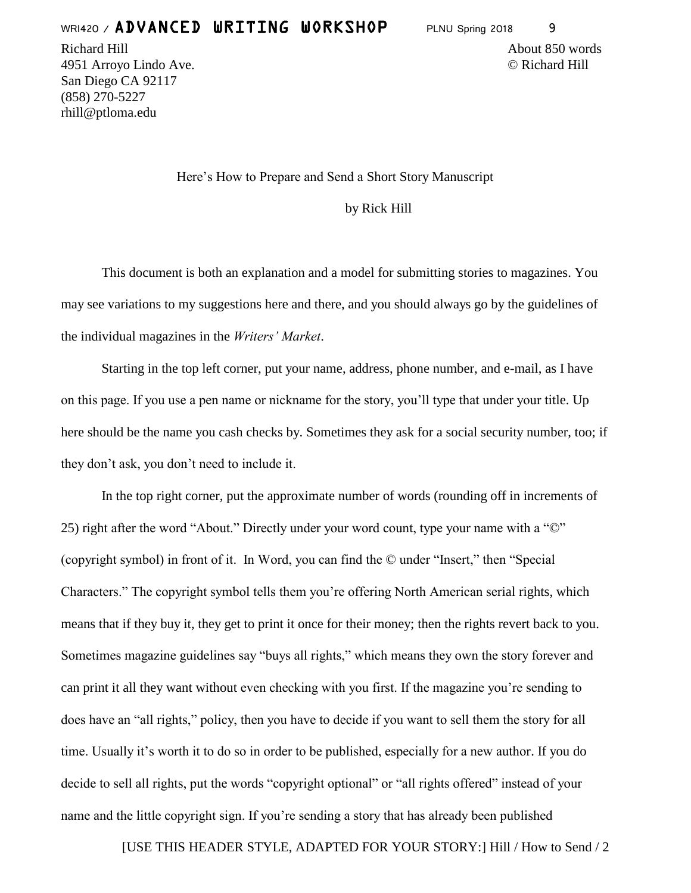Richard Hill About 850 words and the set of the set of the set of the set of the set of the set of the set of the set of the set of the set of the set of the set of the set of the set of the set of the set of the set of th 4951 Arroyo Lindo Ave. © Richard Hill San Diego CA 92117 (858) 270-5227 rhill@ptloma.edu

Here's How to Prepare and Send a Short Story Manuscript

by Rick Hill

This document is both an explanation and a model for submitting stories to magazines. You may see variations to my suggestions here and there, and you should always go by the guidelines of the individual magazines in the *Writers' Market*.

Starting in the top left corner, put your name, address, phone number, and e-mail, as I have on this page. If you use a pen name or nickname for the story, you'll type that under your title. Up here should be the name you cash checks by. Sometimes they ask for a social security number, too; if they don't ask, you don't need to include it.

In the top right corner, put the approximate number of words (rounding off in increments of 25) right after the word "About." Directly under your word count, type your name with a "©" (copyright symbol) in front of it. In Word, you can find the © under "Insert," then "Special Characters." The copyright symbol tells them you're offering North American serial rights, which means that if they buy it, they get to print it once for their money; then the rights revert back to you. Sometimes magazine guidelines say "buys all rights," which means they own the story forever and can print it all they want without even checking with you first. If the magazine you're sending to does have an "all rights," policy, then you have to decide if you want to sell them the story for all time. Usually it's worth it to do so in order to be published, especially for a new author. If you do decide to sell all rights, put the words "copyright optional" or "all rights offered" instead of your name and the little copyright sign. If you're sending a story that has already been published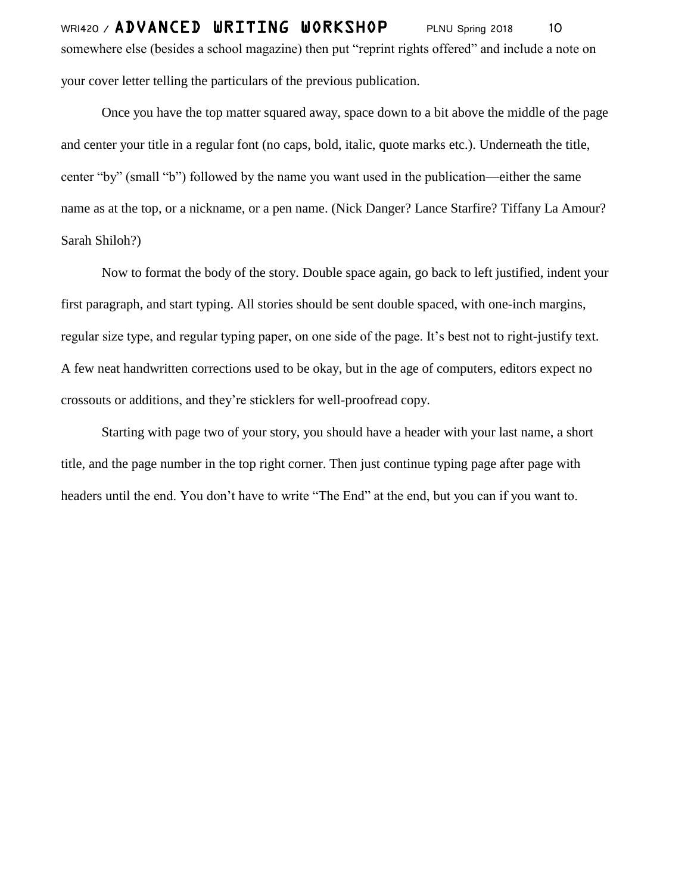WRI420 / ADVANCED URITING UORKSHOP PLNU Spring 2018 10 somewhere else (besides a school magazine) then put "reprint rights offered" and include a note on your cover letter telling the particulars of the previous publication.

Once you have the top matter squared away, space down to a bit above the middle of the page and center your title in a regular font (no caps, bold, italic, quote marks etc.). Underneath the title, center "by" (small "b") followed by the name you want used in the publication—either the same name as at the top, or a nickname, or a pen name. (Nick Danger? Lance Starfire? Tiffany La Amour? Sarah Shiloh?)

Now to format the body of the story. Double space again, go back to left justified, indent your first paragraph, and start typing. All stories should be sent double spaced, with one-inch margins, regular size type, and regular typing paper, on one side of the page. It's best not to right-justify text. A few neat handwritten corrections used to be okay, but in the age of computers, editors expect no crossouts or additions, and they're sticklers for well-proofread copy.

Starting with page two of your story, you should have a header with your last name, a short title, and the page number in the top right corner. Then just continue typing page after page with headers until the end. You don't have to write "The End" at the end, but you can if you want to.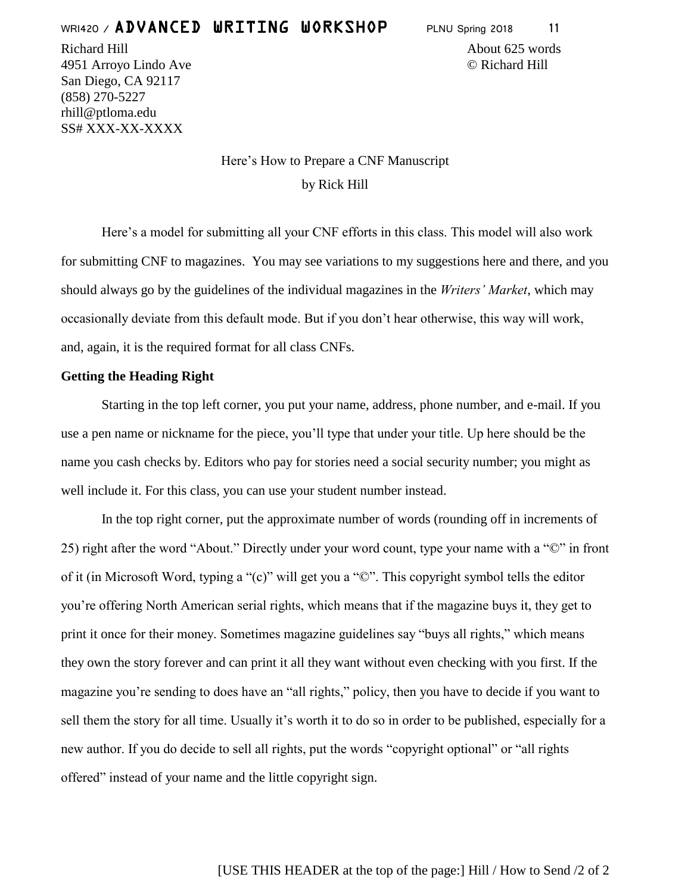Richard Hill About 625 words

4951 Arroyo Lindo Ave © Richard Hill San Diego, CA 92117 (858) 270-5227 rhill@ptloma.edu SS# XXX-XX-XXXX

> Here's How to Prepare a CNF Manuscript by Rick Hill

Here's a model for submitting all your CNF efforts in this class. This model will also work for submitting CNF to magazines. You may see variations to my suggestions here and there, and you should always go by the guidelines of the individual magazines in the *Writers' Market*, which may occasionally deviate from this default mode. But if you don't hear otherwise, this way will work, and, again, it is the required format for all class CNFs.

### **Getting the Heading Right**

Starting in the top left corner, you put your name, address, phone number, and e-mail. If you use a pen name or nickname for the piece, you'll type that under your title. Up here should be the name you cash checks by. Editors who pay for stories need a social security number; you might as well include it. For this class, you can use your student number instead.

In the top right corner, put the approximate number of words (rounding off in increments of 25) right after the word "About." Directly under your word count, type your name with a "©" in front of it (in Microsoft Word, typing a "(c)" will get you a "©". This copyright symbol tells the editor you're offering North American serial rights, which means that if the magazine buys it, they get to print it once for their money. Sometimes magazine guidelines say "buys all rights," which means they own the story forever and can print it all they want without even checking with you first. If the magazine you're sending to does have an "all rights," policy, then you have to decide if you want to sell them the story for all time. Usually it's worth it to do so in order to be published, especially for a new author. If you do decide to sell all rights, put the words "copyright optional" or "all rights offered" instead of your name and the little copyright sign.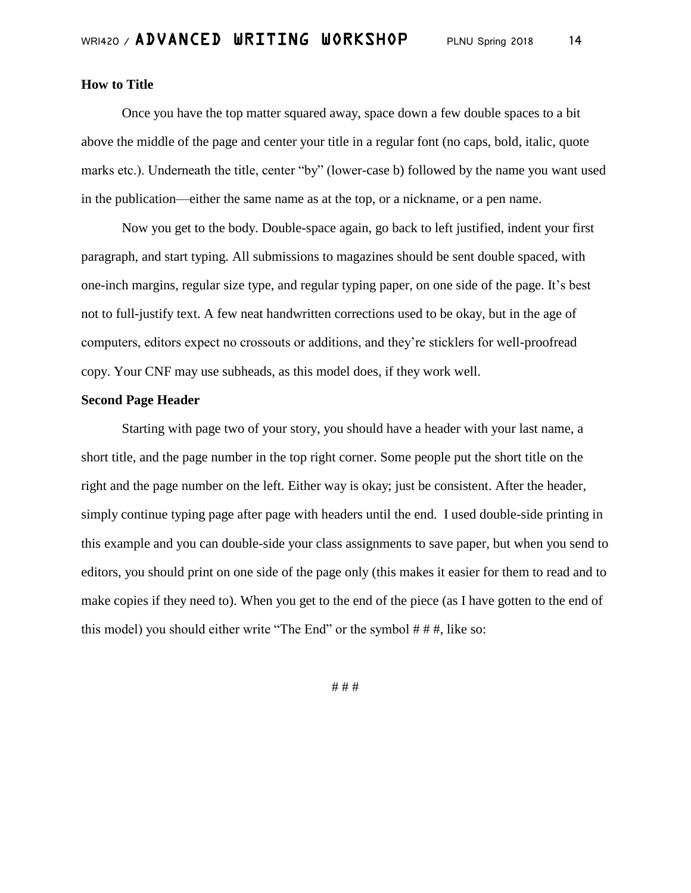### **How to Title**

Once you have the top matter squared away, space down a few double spaces to a bit above the middle of the page and center your title in a regular font (no caps, bold, italic, quote marks etc.). Underneath the title, center "by" (lower-case b) followed by the name you want used in the publication—either the same name as at the top, or a nickname, or a pen name.

Now you get to the body. Double-space again, go back to left justified, indent your first paragraph, and start typing. All submissions to magazines should be sent double spaced, with one-inch margins, regular size type, and regular typing paper, on one side of the page. It's best not to full-justify text. A few neat handwritten corrections used to be okay, but in the age of computers, editors expect no crossouts or additions, and they're sticklers for well-proofread copy. Your CNF may use subheads, as this model does, if they work well.

#### **Second Page Header**

Starting with page two of your story, you should have a header with your last name, a short title, and the page number in the top right corner. Some people put the short title on the right and the page number on the left. Either way is okay; just be consistent. After the header, simply continue typing page after page with headers until the end. I used double-side printing in this example and you can double-side your class assignments to save paper, but when you send to editors, you should print on one side of the page only (this makes it easier for them to read and to make copies if they need to). When you get to the end of the piece (as I have gotten to the end of this model) you should either write "The End" or the symbol # # #, like so:

# # #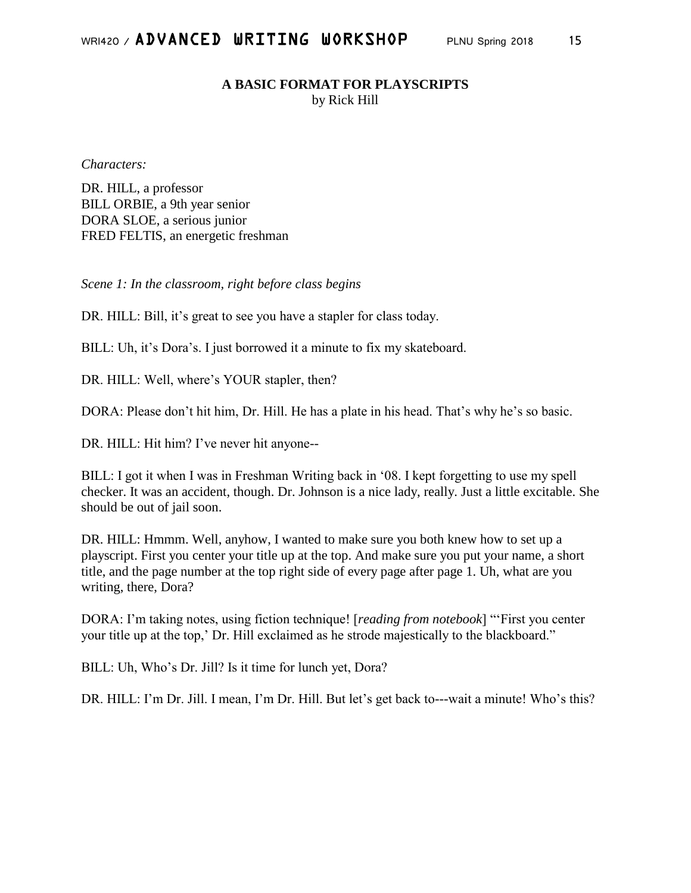## **A BASIC FORMAT FOR PLAYSCRIPTS**

by Rick Hill

*Characters:*

DR. HILL, a professor BILL ORBIE, a 9th year senior DORA SLOE, a serious junior FRED FELTIS, an energetic freshman

*Scene 1: In the classroom, right before class begins*

DR. HILL: Bill, it's great to see you have a stapler for class today.

BILL: Uh, it's Dora's. I just borrowed it a minute to fix my skateboard.

DR. HILL: Well, where's YOUR stapler, then?

DORA: Please don't hit him, Dr. Hill. He has a plate in his head. That's why he's so basic.

DR. HILL: Hit him? I've never hit anyone--

BILL: I got it when I was in Freshman Writing back in '08. I kept forgetting to use my spell checker. It was an accident, though. Dr. Johnson is a nice lady, really. Just a little excitable. She should be out of jail soon.

DR. HILL: Hmmm. Well, anyhow, I wanted to make sure you both knew how to set up a playscript. First you center your title up at the top. And make sure you put your name, a short title, and the page number at the top right side of every page after page 1. Uh, what are you writing, there, Dora?

DORA: I'm taking notes, using fiction technique! [*reading from notebook*] "'First you center your title up at the top,' Dr. Hill exclaimed as he strode majestically to the blackboard."

BILL: Uh, Who's Dr. Jill? Is it time for lunch yet, Dora?

DR. HILL: I'm Dr. Jill. I mean, I'm Dr. Hill. But let's get back to---wait a minute! Who's this?